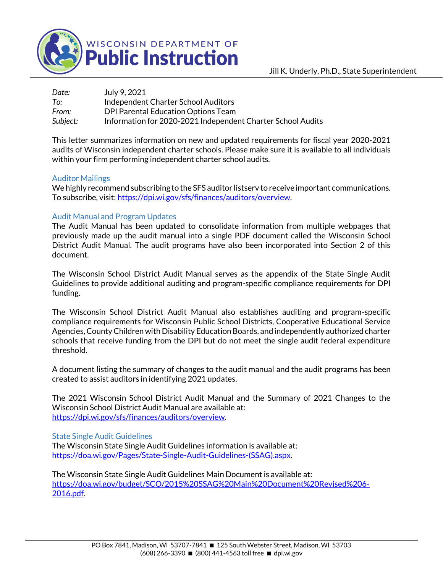

WISCONSIN DEPARTMENT OF

| Date:    | July 9, 2021                                                |
|----------|-------------------------------------------------------------|
| To:      | Independent Charter School Auditors                         |
| From:    | DPI Parental Education Options Team                         |
| Subject: | Information for 2020-2021 Independent Charter School Audits |

This letter summarizes information on new and updated requirements for fiscal year 2020-2021 audits of Wisconsin independent charter schools. Please make sure it is available to all individuals within your firm performing independent charter school audits.

## Auditor Mailings

We highly recommend subscribing to the SFS auditor listserv to receive important communications. To subscribe, visit: [https://dpi.wi.gov/sfs/finances/auditors/overview.](https://dpi.wi.gov/sfs/finances/auditors/overview)

## Audit Manual and Program Updates

The Audit Manual has been updated to consolidate information from multiple webpages that previously made up the audit manual into a single PDF document called the Wisconsin School District Audit Manual. The audit programs have also been incorporated into Section 2 of this document.

The Wisconsin School District Audit Manual serves as the appendix of the State Single Audit Guidelines to provide additional auditing and program-specific compliance requirements for DPI funding.

The Wisconsin School District Audit Manual also establishes auditing and program-specific compliance requirements for Wisconsin Public School Districts, Cooperative Educational Service Agencies, County Children with Disability Education Boards, and independently authorized charter schools that receive funding from the DPI but do not meet the single audit federal expenditure threshold.

A document listing the summary of changes to the audit manual and the audit programs has been created to assist auditors in identifying 2021 updates.

The 2021 Wisconsin School District Audit Manual and the Summary of 2021 Changes to the Wisconsin School District Audit Manual are available at: [https://dpi.wi.gov/sfs/finances/auditors/overview.](https://dpi.wi.gov/sfs/finances/auditors/overview)

## State Single Audit Guidelines

The Wisconsin State Single Audit Guidelines information is available at: [https://doa.wi.gov/Pages/State-Single-Audit-Guidelines-\(SSAG\).aspx.](https://doa.wi.gov/Pages/State-Single-Audit-Guidelines-(SSAG).aspx)

The Wisconsin State Single Audit Guidelines Main Document is available at: [https://doa.wi.gov/budget/SCO/2015%20SSAG%20Main%20Document%20Revised%206-](https://doa.wi.gov/budget/SCO/2015%20SSAG%20Main%20Document%20Revised%206-2016.pdf) [2016.pdf.](https://doa.wi.gov/budget/SCO/2015%20SSAG%20Main%20Document%20Revised%206-2016.pdf)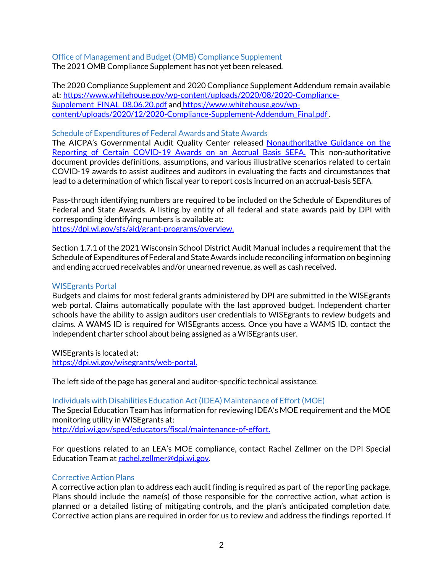# Office of Management and Budget (OMB) Compliance Supplement

The 2021 OMB Compliance Supplement has not yet been released.

The 2020 Compliance Supplement and 2020 Compliance Supplement Addendum remain available at: [https://www.whitehouse.gov/wp-content/uploads/2020/08/2020-Compliance-](https://www.whitehouse.gov/wp-content/uploads/2020/08/2020-Compliance-Supplement_FINAL_08.06.20.pdf)[Supplement\\_FINAL\\_08.06.20.pdf](https://www.whitehouse.gov/wp-content/uploads/2020/08/2020-Compliance-Supplement_FINAL_08.06.20.pdf) and [https://www.whitehouse.gov/wp](https://www.whitehouse.gov/wp-content/uploads/2020/12/2020-Compliance-Supplement-Addendum_Final.pdf)[content/uploads/2020/12/2020-Compliance-Supplement-Addendum\\_Final.pdf](https://www.whitehouse.gov/wp-content/uploads/2020/12/2020-Compliance-Supplement-Addendum_Final.pdf) .

#### Schedule of Expenditures of Federal Awards and State Awards

The AICPA's Governmental Audit Quality Center released [Nonauthoritative Guidance on the](https://www.aicpa.org/content/dam/aicpa/interestareas/governmentalauditquality/resources/singleaudit/downloadabledocuments/aicpa-gaqc-nonauthoritative-covid-19-scenarios.pdf)  [Reporting of Certain COVID-19 Awards on an Accrual Basis SEFA.](https://www.aicpa.org/content/dam/aicpa/interestareas/governmentalauditquality/resources/singleaudit/downloadabledocuments/aicpa-gaqc-nonauthoritative-covid-19-scenarios.pdf) This non-authoritative document provides definitions, assumptions, and various illustrative scenarios related to certain COVID-19 awards to assist auditees and auditors in evaluating the facts and circumstances that lead to a determination of which fiscal year to report costs incurred on an accrual-basis SEFA.

Pass-through identifying numbers are required to be included on the Schedule of Expenditures of Federal and State Awards. A listing by entity of all federal and state awards paid by DPI with corresponding identifying numbers is available at: [https://dpi.wi.gov/sfs/aid/grant-programs/overview.](https://dpi.wi.gov/sfs/aid/grant-programs/overview)

Section 1.7.1 of the 2021 Wisconsin School District Audit Manual includes a requirement that the Schedule of Expenditures of Federal and State Awards include reconciling information on beginning and ending accrued receivables and/or unearned revenue, as well as cash received.

#### WISEgrants Portal

Budgets and claims for most federal grants administered by DPI are submitted in the WISEgrants web portal. Claims automatically populate with the last approved budget. Independent charter schools have the ability to assign auditors user credentials to WISEgrants to review budgets and claims. A WAMS ID is required for WISEgrants access. Once you have a WAMS ID, contact the independent charter school about being assigned as a WISEgrants user.

WISEgrants is located at: [https://dpi.wi.gov/wisegrants/web-portal.](https://dpi.wi.gov/wisegrants/web-portal)

The left side of the page has general and auditor-specific technical assistance.

Individuals with Disabilities Education Act (IDEA) Maintenance of Effort (MOE) The Special Education Team has information for reviewing IDEA's MOE requirement and the MOE monitoring utility in WISEgrants at: [http://dpi.wi.gov/sped/educators/fiscal/maintenance-of-effort.](http://dpi.wi.gov/sped/educators/fiscal/maintenance-of-effort)

For questions related to an LEA's MOE compliance, contact Rachel Zellmer on the DPI Special Education Team a[t rachel.zellmer@dpi.wi.gov.](mailto:rachel.zellmer@dpi.wi.gov)

# Corrective Action Plans

A corrective action plan to address each audit finding is required as part of the reporting package. Plans should include the name(s) of those responsible for the corrective action, what action is planned or a detailed listing of mitigating controls, and the plan's anticipated completion date. Corrective action plans are required in order for us to review and address the findings reported. If